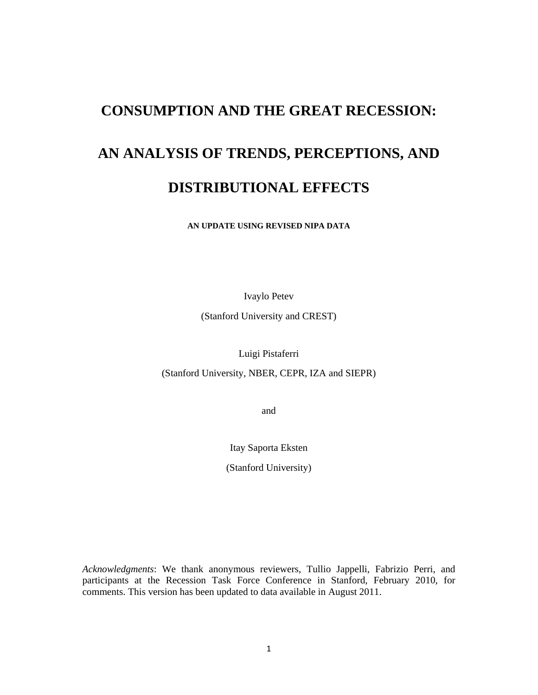# **CONSUMPTION AND THE GREAT RECESSION:**

# **AN ANALYSIS OF TRENDS, PERCEPTIONS, AND**

# **DISTRIBUTIONAL EFFECTS**

**AN UPDATE USING REVISED NIPA DATA** 

Ivaylo Petev

(Stanford University and CREST)

Luigi Pistaferri

(Stanford University, NBER, CEPR, IZA and SIEPR)

and

Itay Saporta Eksten

(Stanford University)

*Acknowledgments*: We thank anonymous reviewers, Tullio Jappelli, Fabrizio Perri, and participants at the Recession Task Force Conference in Stanford, February 2010, for comments. This version has been updated to data available in August 2011.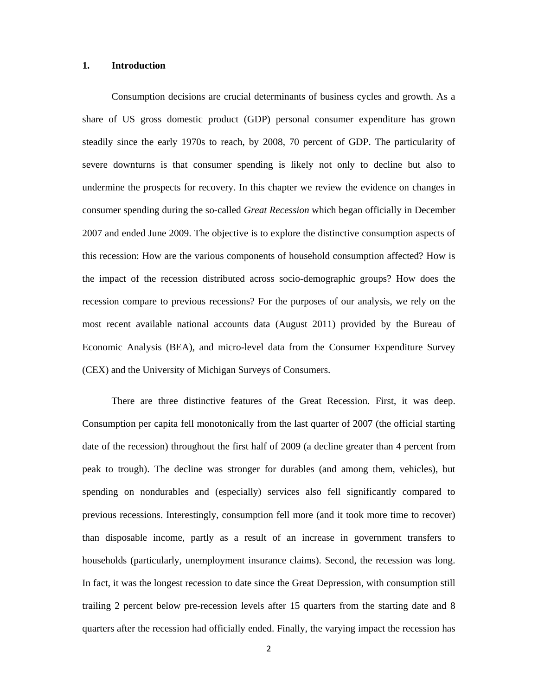#### **1. Introduction**

Consumption decisions are crucial determinants of business cycles and growth. As a share of US gross domestic product (GDP) personal consumer expenditure has grown steadily since the early 1970s to reach, by 2008, 70 percent of GDP. The particularity of severe downturns is that consumer spending is likely not only to decline but also to undermine the prospects for recovery. In this chapter we review the evidence on changes in consumer spending during the so-called *Great Recession* which began officially in December 2007 and ended June 2009. The objective is to explore the distinctive consumption aspects of this recession: How are the various components of household consumption affected? How is the impact of the recession distributed across socio-demographic groups? How does the recession compare to previous recessions? For the purposes of our analysis, we rely on the most recent available national accounts data (August 2011) provided by the Bureau of Economic Analysis (BEA), and micro-level data from the Consumer Expenditure Survey (CEX) and the University of Michigan Surveys of Consumers.

There are three distinctive features of the Great Recession. First, it was deep. Consumption per capita fell monotonically from the last quarter of 2007 (the official starting date of the recession) throughout the first half of 2009 (a decline greater than 4 percent from peak to trough). The decline was stronger for durables (and among them, vehicles), but spending on nondurables and (especially) services also fell significantly compared to previous recessions. Interestingly, consumption fell more (and it took more time to recover) than disposable income, partly as a result of an increase in government transfers to households (particularly, unemployment insurance claims). Second, the recession was long. In fact, it was the longest recession to date since the Great Depression, with consumption still trailing 2 percent below pre-recession levels after 15 quarters from the starting date and 8 quarters after the recession had officially ended. Finally, the varying impact the recession has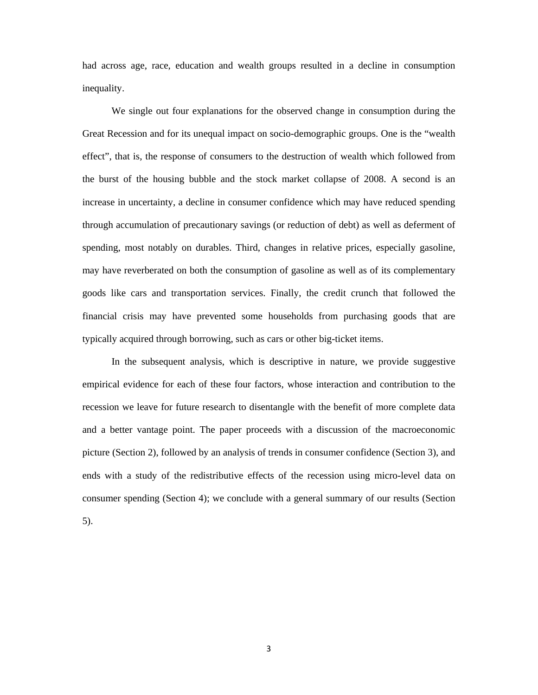had across age, race, education and wealth groups resulted in a decline in consumption inequality.

We single out four explanations for the observed change in consumption during the Great Recession and for its unequal impact on socio-demographic groups. One is the "wealth effect", that is, the response of consumers to the destruction of wealth which followed from the burst of the housing bubble and the stock market collapse of 2008. A second is an increase in uncertainty, a decline in consumer confidence which may have reduced spending through accumulation of precautionary savings (or reduction of debt) as well as deferment of spending, most notably on durables. Third, changes in relative prices, especially gasoline, may have reverberated on both the consumption of gasoline as well as of its complementary goods like cars and transportation services. Finally, the credit crunch that followed the financial crisis may have prevented some households from purchasing goods that are typically acquired through borrowing, such as cars or other big-ticket items.

In the subsequent analysis, which is descriptive in nature, we provide suggestive empirical evidence for each of these four factors, whose interaction and contribution to the recession we leave for future research to disentangle with the benefit of more complete data and a better vantage point. The paper proceeds with a discussion of the macroeconomic picture (Section 2), followed by an analysis of trends in consumer confidence (Section 3), and ends with a study of the redistributive effects of the recession using micro-level data on consumer spending (Section 4); we conclude with a general summary of our results (Section 5).

3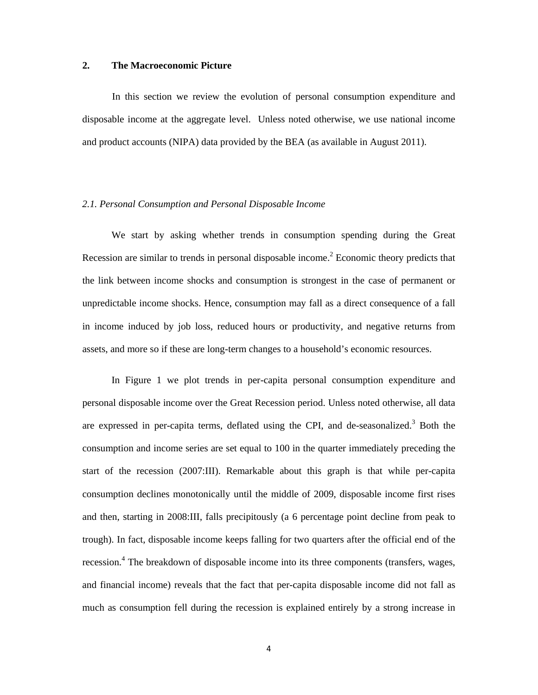#### **2. The Macroeconomic Picture**

In this section we review the evolution of personal consumption expenditure and disposable income at the aggregate level. Unless noted otherwise, we use national income and product accounts (NIPA) data provided by the BEA (as available in August 2011).

#### *2.1. Personal Consumption and Personal Disposable Income*

We start by asking whether trends in consumption spending during the Great Recession are similar to trends in personal disposable income.<sup>2</sup> Economic theory predicts that the link between income shocks and consumption is strongest in the case of permanent or unpredictable income shocks. Hence, consumption may fall as a direct consequence of a fall in income induced by job loss, reduced hours or productivity, and negative returns from assets, and more so if these are long-term changes to a household's economic resources.

In Figure 1 we plot trends in per-capita personal consumption expenditure and personal disposable income over the Great Recession period. Unless noted otherwise, all data are expressed in per-capita terms, deflated using the CPI, and de-seasonalized.<sup>3</sup> Both the consumption and income series are set equal to 100 in the quarter immediately preceding the start of the recession (2007:III). Remarkable about this graph is that while per-capita consumption declines monotonically until the middle of 2009, disposable income first rises and then, starting in 2008:III, falls precipitously (a 6 percentage point decline from peak to trough). In fact, disposable income keeps falling for two quarters after the official end of the recession.<sup>4</sup> The breakdown of disposable income into its three components (transfers, wages, and financial income) reveals that the fact that per-capita disposable income did not fall as much as consumption fell during the recession is explained entirely by a strong increase in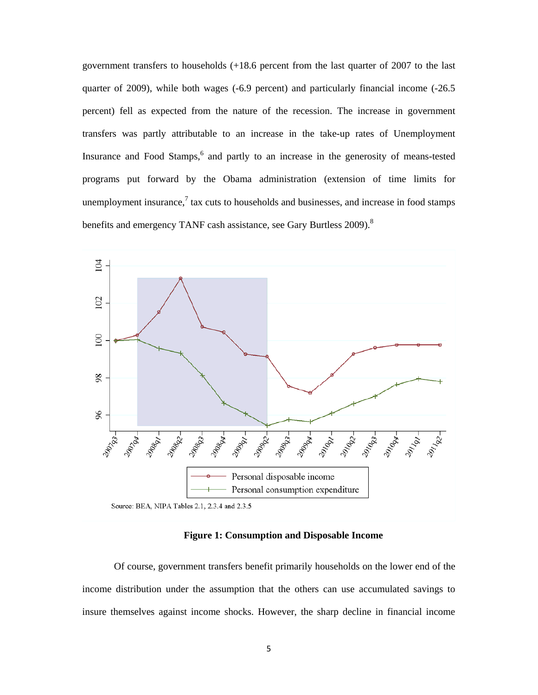government transfers to households (+18.6 percent from the last quarter of 2007 to the last quarter of 2009), while both wages (-6.9 percent) and particularly financial income (-26.5 percent) fell as expected from the nature of the recession. The increase in government transfers was partly attributable to an increase in the take-up rates of Unemployment Insurance and Food Stamps,<sup>6</sup> and partly to an increase in the generosity of means-tested programs put forward by the Obama administration (extension of time limits for unemployment insurance, $\frac{7}{1}$  tax cuts to households and businesses, and increase in food stamps benefits and emergency TANF cash assistance, see Gary Burtless 2009).<sup>8</sup>



**Figure 1: Consumption and Disposable Income**

 Of course, government transfers benefit primarily households on the lower end of the income distribution under the assumption that the others can use accumulated savings to insure themselves against income shocks. However, the sharp decline in financial income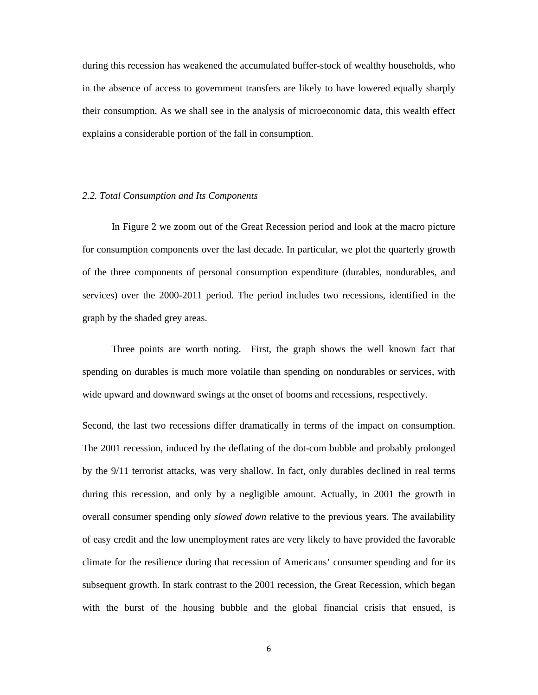during this recession has weakened the accumulated buffer-stock of wealthy households, who in the absence of access to government transfers are likely to have lowered equally sharply their consumption. As we shall see in the analysis of microeconomic data, this wealth effect explains a considerable portion of the fall in consumption.

#### *2.2. Total Consumption and Its Components*

In Figure 2 we zoom out of the Great Recession period and look at the macro picture for consumption components over the last decade. In particular, we plot the quarterly growth of the three components of personal consumption expenditure (durables, nondurables, and services) over the 2000-2011 period. The period includes two recessions, identified in the graph by the shaded grey areas.

Three points are worth noting. First, the graph shows the well known fact that spending on durables is much more volatile than spending on nondurables or services, with wide upward and downward swings at the onset of booms and recessions, respectively.

Second, the last two recessions differ dramatically in terms of the impact on consumption. The 2001 recession, induced by the deflating of the dot-com bubble and probably prolonged by the 9/11 terrorist attacks, was very shallow. In fact, only durables declined in real terms during this recession, and only by a negligible amount. Actually, in 2001 the growth in overall consumer spending only *slowed down* relative to the previous years. The availability of easy credit and the low unemployment rates are very likely to have provided the favorable climate for the resilience during that recession of Americans' consumer spending and for its subsequent growth. In stark contrast to the 2001 recession, the Great Recession, which began with the burst of the housing bubble and the global financial crisis that ensued, is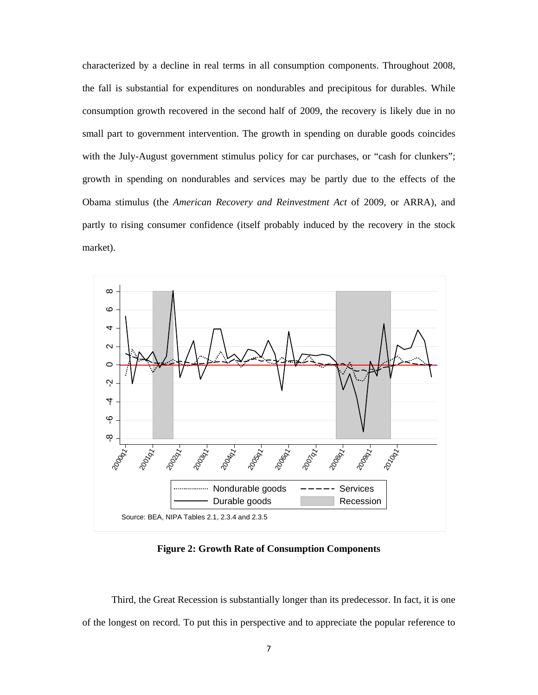characterized by a decline in real terms in all consumption components. Throughout 2008, the fall is substantial for expenditures on nondurables and precipitous for durables. While consumption growth recovered in the second half of 2009, the recovery is likely due in no small part to government intervention. The growth in spending on durable goods coincides with the July-August government stimulus policy for car purchases, or "cash for clunkers"; growth in spending on nondurables and services may be partly due to the effects of the Obama stimulus (the *American Recovery and Reinvestment Act* of 2009, or ARRA), and partly to rising consumer confidence (itself probably induced by the recovery in the stock market).



**Figure 2: Growth Rate of Consumption Components** 

Third, the Great Recession is substantially longer than its predecessor. In fact, it is one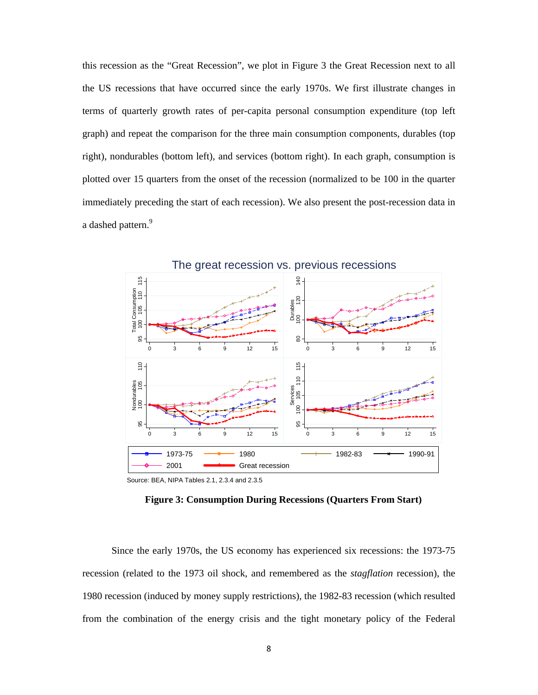this recession as the "Great Recession", we plot in Figure 3 the Great Recession next to all the US recessions that have occurred since the early 1970s. We first illustrate changes in terms of quarterly growth rates of per-capita personal consumption expenditure (top left graph) and repeat the comparison for the three main consumption components, durables (top right), nondurables (bottom left), and services (bottom right). In each graph, consumption is plotted over 15 quarters from the onset of the recession (normalized to be 100 in the quarter immediately preceding the start of each recession). We also present the post-recession data in a dashed pattern.<sup>9</sup>



**Figure 3: Consumption During Recessions (Quarters From Start)** 

Since the early 1970s, the US economy has experienced six recessions: the 1973-75 recession (related to the 1973 oil shock, and remembered as the *stagflation* recession), the 1980 recession (induced by money supply restrictions), the 1982-83 recession (which resulted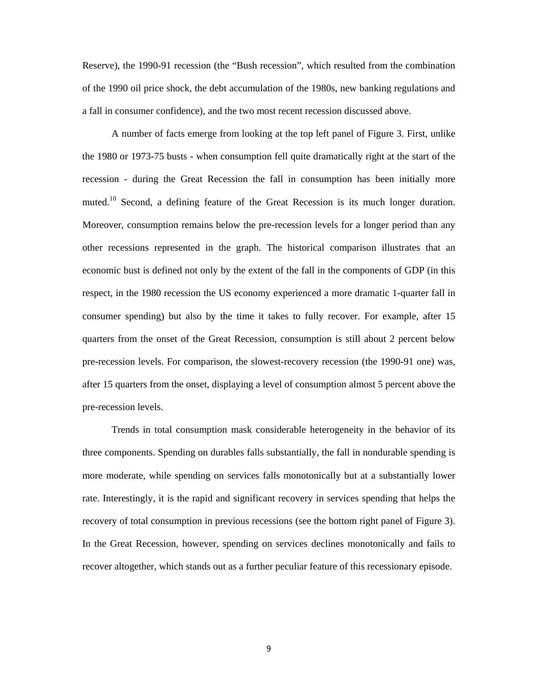Reserve), the 1990-91 recession (the "Bush recession", which resulted from the combination of the 1990 oil price shock, the debt accumulation of the 1980s, new banking regulations and a fall in consumer confidence), and the two most recent recession discussed above.

A number of facts emerge from looking at the top left panel of Figure 3. First, unlike the 1980 or 1973-75 busts - when consumption fell quite dramatically right at the start of the recession - during the Great Recession the fall in consumption has been initially more muted.<sup>10</sup> Second, a defining feature of the Great Recession is its much longer duration. Moreover, consumption remains below the pre-recession levels for a longer period than any other recessions represented in the graph. The historical comparison illustrates that an economic bust is defined not only by the extent of the fall in the components of GDP (in this respect, in the 1980 recession the US economy experienced a more dramatic 1-quarter fall in consumer spending) but also by the time it takes to fully recover. For example, after 15 quarters from the onset of the Great Recession, consumption is still about 2 percent below pre-recession levels. For comparison, the slowest-recovery recession (the 1990-91 one) was, after 15 quarters from the onset, displaying a level of consumption almost 5 percent above the pre-recession levels.

Trends in total consumption mask considerable heterogeneity in the behavior of its three components. Spending on durables falls substantially, the fall in nondurable spending is more moderate, while spending on services falls monotonically but at a substantially lower rate. Interestingly, it is the rapid and significant recovery in services spending that helps the recovery of total consumption in previous recessions (see the bottom right panel of Figure 3). In the Great Recession, however, spending on services declines monotonically and fails to recover altogether, which stands out as a further peculiar feature of this recessionary episode.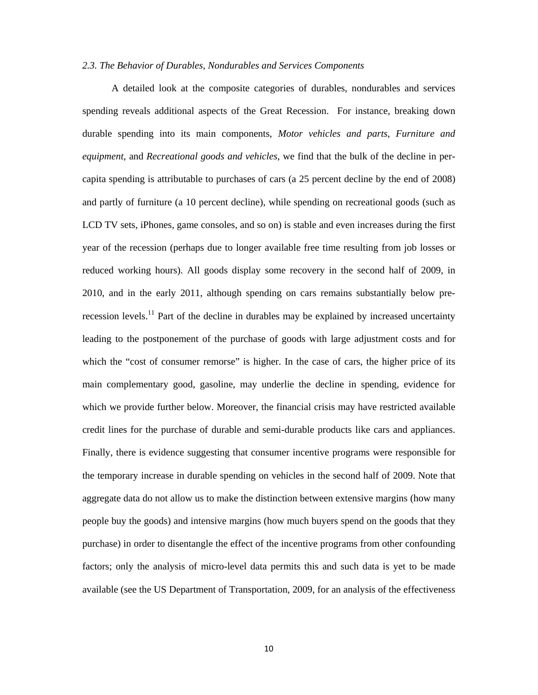#### *2.3. The Behavior of Durables, Nondurables and Services Components*

A detailed look at the composite categories of durables, nondurables and services spending reveals additional aspects of the Great Recession. For instance, breaking down durable spending into its main components, *Motor vehicles and parts*, *Furniture and equipment*, and *Recreational goods and vehicles*, we find that the bulk of the decline in percapita spending is attributable to purchases of cars (a 25 percent decline by the end of 2008) and partly of furniture (a 10 percent decline), while spending on recreational goods (such as LCD TV sets, iPhones, game consoles, and so on) is stable and even increases during the first year of the recession (perhaps due to longer available free time resulting from job losses or reduced working hours). All goods display some recovery in the second half of 2009, in 2010, and in the early 2011, although spending on cars remains substantially below prerecession levels.<sup>11</sup> Part of the decline in durables may be explained by increased uncertainty leading to the postponement of the purchase of goods with large adjustment costs and for which the "cost of consumer remorse" is higher. In the case of cars, the higher price of its main complementary good, gasoline, may underlie the decline in spending, evidence for which we provide further below. Moreover, the financial crisis may have restricted available credit lines for the purchase of durable and semi-durable products like cars and appliances. Finally, there is evidence suggesting that consumer incentive programs were responsible for the temporary increase in durable spending on vehicles in the second half of 2009. Note that aggregate data do not allow us to make the distinction between extensive margins (how many people buy the goods) and intensive margins (how much buyers spend on the goods that they purchase) in order to disentangle the effect of the incentive programs from other confounding factors; only the analysis of micro-level data permits this and such data is yet to be made available (see the US Department of Transportation, 2009, for an analysis of the effectiveness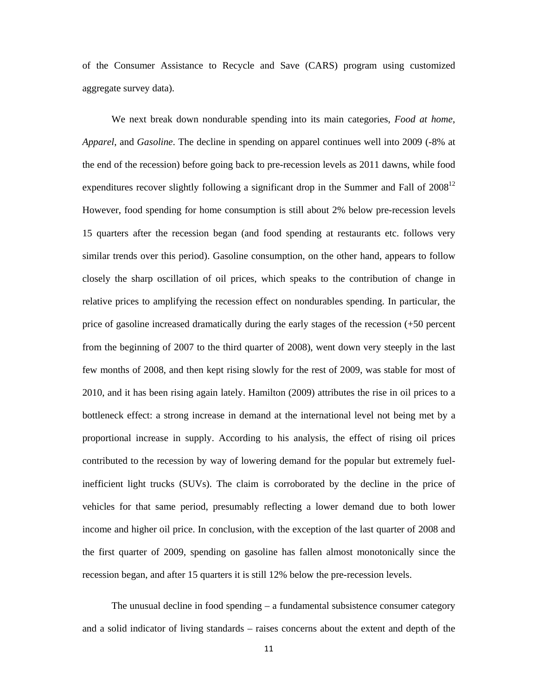of the Consumer Assistance to Recycle and Save (CARS) program using customized aggregate survey data).

We next break down nondurable spending into its main categories, *Food at home*, *Apparel*, and *Gasoline*. The decline in spending on apparel continues well into 2009 (-8% at the end of the recession) before going back to pre-recession levels as 2011 dawns, while food expenditures recover slightly following a significant drop in the Summer and Fall of  $2008^{12}$ However, food spending for home consumption is still about 2% below pre-recession levels 15 quarters after the recession began (and food spending at restaurants etc. follows very similar trends over this period). Gasoline consumption, on the other hand, appears to follow closely the sharp oscillation of oil prices, which speaks to the contribution of change in relative prices to amplifying the recession effect on nondurables spending. In particular, the price of gasoline increased dramatically during the early stages of the recession (+50 percent from the beginning of 2007 to the third quarter of 2008), went down very steeply in the last few months of 2008, and then kept rising slowly for the rest of 2009, was stable for most of 2010, and it has been rising again lately. Hamilton (2009) attributes the rise in oil prices to a bottleneck effect: a strong increase in demand at the international level not being met by a proportional increase in supply. According to his analysis, the effect of rising oil prices contributed to the recession by way of lowering demand for the popular but extremely fuelinefficient light trucks (SUVs). The claim is corroborated by the decline in the price of vehicles for that same period, presumably reflecting a lower demand due to both lower income and higher oil price. In conclusion, with the exception of the last quarter of 2008 and the first quarter of 2009, spending on gasoline has fallen almost monotonically since the recession began, and after 15 quarters it is still 12% below the pre-recession levels.

The unusual decline in food spending – a fundamental subsistence consumer category and a solid indicator of living standards – raises concerns about the extent and depth of the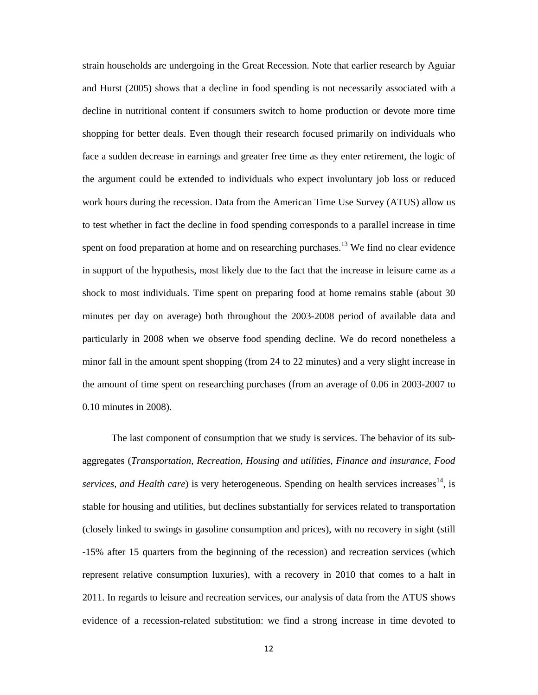strain households are undergoing in the Great Recession. Note that earlier research by Aguiar and Hurst (2005) shows that a decline in food spending is not necessarily associated with a decline in nutritional content if consumers switch to home production or devote more time shopping for better deals. Even though their research focused primarily on individuals who face a sudden decrease in earnings and greater free time as they enter retirement, the logic of the argument could be extended to individuals who expect involuntary job loss or reduced work hours during the recession. Data from the American Time Use Survey (ATUS) allow us to test whether in fact the decline in food spending corresponds to a parallel increase in time spent on food preparation at home and on researching purchases.<sup>13</sup> We find no clear evidence in support of the hypothesis, most likely due to the fact that the increase in leisure came as a shock to most individuals. Time spent on preparing food at home remains stable (about 30 minutes per day on average) both throughout the 2003-2008 period of available data and particularly in 2008 when we observe food spending decline. We do record nonetheless a minor fall in the amount spent shopping (from 24 to 22 minutes) and a very slight increase in the amount of time spent on researching purchases (from an average of 0.06 in 2003-2007 to 0.10 minutes in 2008).

The last component of consumption that we study is services. The behavior of its subaggregates (*Transportation, Recreation, Housing and utilities, Finance and insurance, Food services, and Health care*) is very heterogeneous. Spending on health services increases<sup>14</sup>, is stable for housing and utilities, but declines substantially for services related to transportation (closely linked to swings in gasoline consumption and prices), with no recovery in sight (still -15% after 15 quarters from the beginning of the recession) and recreation services (which represent relative consumption luxuries), with a recovery in 2010 that comes to a halt in 2011. In regards to leisure and recreation services, our analysis of data from the ATUS shows evidence of a recession-related substitution: we find a strong increase in time devoted to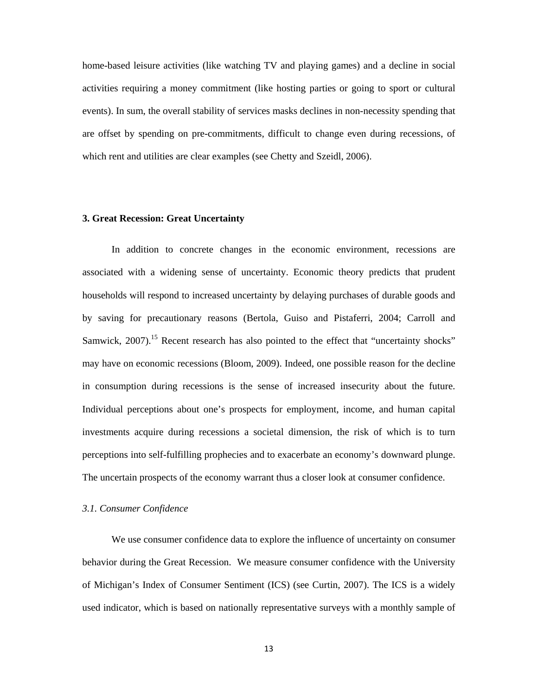home-based leisure activities (like watching TV and playing games) and a decline in social activities requiring a money commitment (like hosting parties or going to sport or cultural events). In sum, the overall stability of services masks declines in non-necessity spending that are offset by spending on pre-commitments, difficult to change even during recessions, of which rent and utilities are clear examples (see Chetty and Szeidl, 2006).

#### **3. Great Recession: Great Uncertainty**

In addition to concrete changes in the economic environment, recessions are associated with a widening sense of uncertainty. Economic theory predicts that prudent households will respond to increased uncertainty by delaying purchases of durable goods and by saving for precautionary reasons (Bertola, Guiso and Pistaferri, 2004; Carroll and Samwick,  $2007$ ).<sup>15</sup> Recent research has also pointed to the effect that "uncertainty shocks" may have on economic recessions (Bloom, 2009). Indeed, one possible reason for the decline in consumption during recessions is the sense of increased insecurity about the future. Individual perceptions about one's prospects for employment, income, and human capital investments acquire during recessions a societal dimension, the risk of which is to turn perceptions into self-fulfilling prophecies and to exacerbate an economy's downward plunge. The uncertain prospects of the economy warrant thus a closer look at consumer confidence.

#### *3.1. Consumer Confidence*

We use consumer confidence data to explore the influence of uncertainty on consumer behavior during the Great Recession. We measure consumer confidence with the University of Michigan's Index of Consumer Sentiment (ICS) (see Curtin, 2007). The ICS is a widely used indicator, which is based on nationally representative surveys with a monthly sample of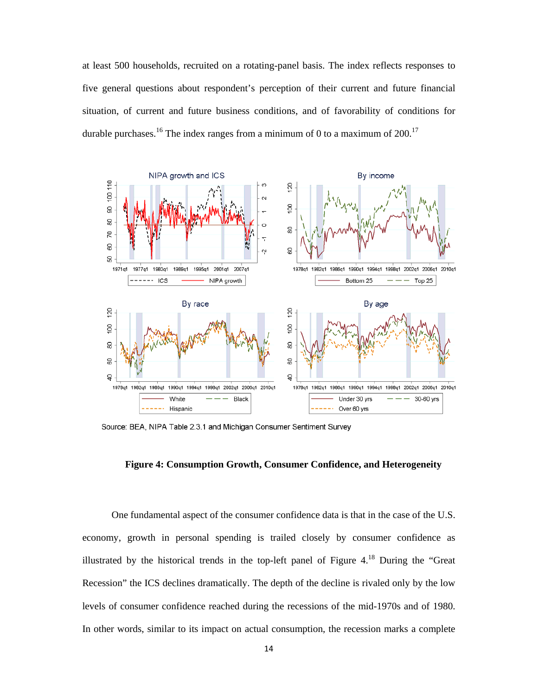at least 500 households, recruited on a rotating-panel basis. The index reflects responses to five general questions about respondent's perception of their current and future financial situation, of current and future business conditions, and of favorability of conditions for durable purchases.<sup>16</sup> The index ranges from a minimum of 0 to a maximum of 200.<sup>17</sup>



Source: BEA, NIPA Table 2.3.1 and Michigan Consumer Sentiment Survey

## **Figure 4: Consumption Growth, Consumer Confidence, and Heterogeneity**

One fundamental aspect of the consumer confidence data is that in the case of the U.S. economy, growth in personal spending is trailed closely by consumer confidence as illustrated by the historical trends in the top-left panel of Figure 4.18 During the "Great Recession" the ICS declines dramatically. The depth of the decline is rivaled only by the low levels of consumer confidence reached during the recessions of the mid-1970s and of 1980. In other words, similar to its impact on actual consumption, the recession marks a complete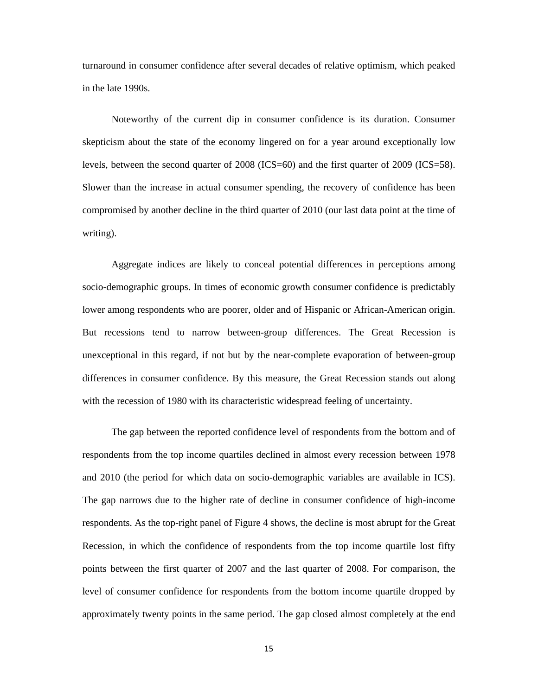turnaround in consumer confidence after several decades of relative optimism, which peaked in the late 1990s.

Noteworthy of the current dip in consumer confidence is its duration. Consumer skepticism about the state of the economy lingered on for a year around exceptionally low levels, between the second quarter of 2008 (ICS=60) and the first quarter of 2009 (ICS=58). Slower than the increase in actual consumer spending, the recovery of confidence has been compromised by another decline in the third quarter of 2010 (our last data point at the time of writing).

Aggregate indices are likely to conceal potential differences in perceptions among socio-demographic groups. In times of economic growth consumer confidence is predictably lower among respondents who are poorer, older and of Hispanic or African-American origin. But recessions tend to narrow between-group differences. The Great Recession is unexceptional in this regard, if not but by the near-complete evaporation of between-group differences in consumer confidence. By this measure, the Great Recession stands out along with the recession of 1980 with its characteristic widespread feeling of uncertainty.

The gap between the reported confidence level of respondents from the bottom and of respondents from the top income quartiles declined in almost every recession between 1978 and 2010 (the period for which data on socio-demographic variables are available in ICS). The gap narrows due to the higher rate of decline in consumer confidence of high-income respondents. As the top-right panel of Figure 4 shows, the decline is most abrupt for the Great Recession, in which the confidence of respondents from the top income quartile lost fifty points between the first quarter of 2007 and the last quarter of 2008. For comparison, the level of consumer confidence for respondents from the bottom income quartile dropped by approximately twenty points in the same period. The gap closed almost completely at the end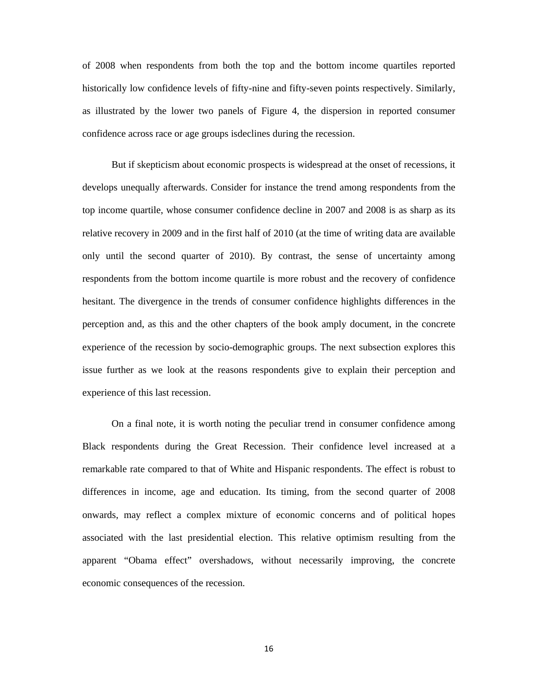of 2008 when respondents from both the top and the bottom income quartiles reported historically low confidence levels of fifty-nine and fifty-seven points respectively. Similarly, as illustrated by the lower two panels of Figure 4, the dispersion in reported consumer confidence across race or age groups isdeclines during the recession.

But if skepticism about economic prospects is widespread at the onset of recessions, it develops unequally afterwards. Consider for instance the trend among respondents from the top income quartile, whose consumer confidence decline in 2007 and 2008 is as sharp as its relative recovery in 2009 and in the first half of 2010 (at the time of writing data are available only until the second quarter of 2010). By contrast, the sense of uncertainty among respondents from the bottom income quartile is more robust and the recovery of confidence hesitant. The divergence in the trends of consumer confidence highlights differences in the perception and, as this and the other chapters of the book amply document, in the concrete experience of the recession by socio-demographic groups. The next subsection explores this issue further as we look at the reasons respondents give to explain their perception and experience of this last recession.

On a final note, it is worth noting the peculiar trend in consumer confidence among Black respondents during the Great Recession. Their confidence level increased at a remarkable rate compared to that of White and Hispanic respondents. The effect is robust to differences in income, age and education. Its timing, from the second quarter of 2008 onwards, may reflect a complex mixture of economic concerns and of political hopes associated with the last presidential election. This relative optimism resulting from the apparent "Obama effect" overshadows, without necessarily improving, the concrete economic consequences of the recession.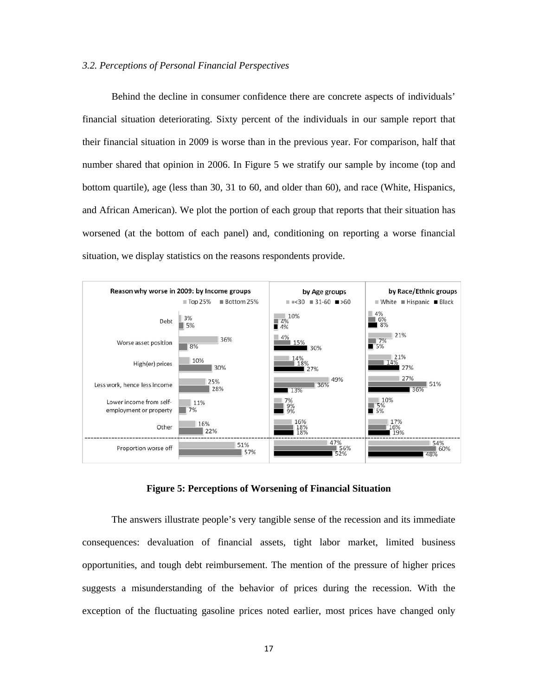#### *3.2. Perceptions of Personal Financial Perspectives*

Behind the decline in consumer confidence there are concrete aspects of individuals' financial situation deteriorating. Sixty percent of the individuals in our sample report that their financial situation in 2009 is worse than in the previous year. For comparison, half that number shared that opinion in 2006. In Figure 5 we stratify our sample by income (top and bottom quartile), age (less than 30, 31 to 60, and older than 60), and race (White, Hispanics, and African American). We plot the portion of each group that reports that their situation has worsened (at the bottom of each panel) and, conditioning on reporting a worse financial situation, we display statistics on the reasons respondents provide.



**Figure 5: Perceptions of Worsening of Financial Situation** 

The answers illustrate people's very tangible sense of the recession and its immediate consequences: devaluation of financial assets, tight labor market, limited business opportunities, and tough debt reimbursement. The mention of the pressure of higher prices suggests a misunderstanding of the behavior of prices during the recession. With the exception of the fluctuating gasoline prices noted earlier, most prices have changed only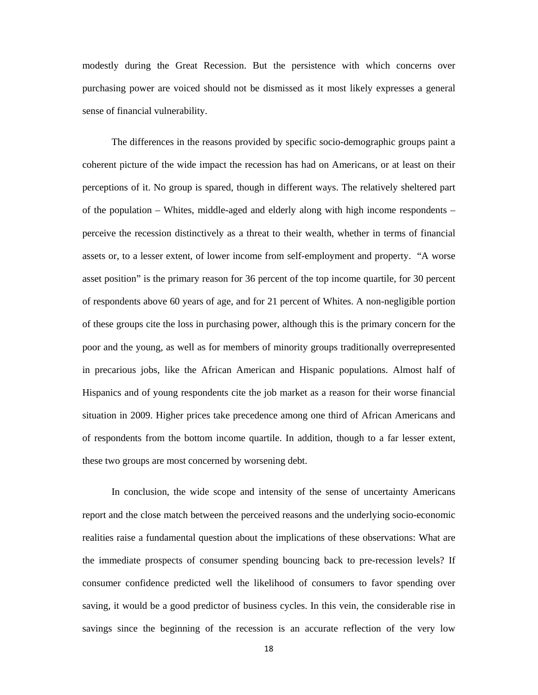modestly during the Great Recession. But the persistence with which concerns over purchasing power are voiced should not be dismissed as it most likely expresses a general sense of financial vulnerability.

The differences in the reasons provided by specific socio-demographic groups paint a coherent picture of the wide impact the recession has had on Americans, or at least on their perceptions of it. No group is spared, though in different ways. The relatively sheltered part of the population – Whites, middle-aged and elderly along with high income respondents – perceive the recession distinctively as a threat to their wealth, whether in terms of financial assets or, to a lesser extent, of lower income from self-employment and property. "A worse asset position" is the primary reason for 36 percent of the top income quartile, for 30 percent of respondents above 60 years of age, and for 21 percent of Whites. A non-negligible portion of these groups cite the loss in purchasing power, although this is the primary concern for the poor and the young, as well as for members of minority groups traditionally overrepresented in precarious jobs, like the African American and Hispanic populations. Almost half of Hispanics and of young respondents cite the job market as a reason for their worse financial situation in 2009. Higher prices take precedence among one third of African Americans and of respondents from the bottom income quartile. In addition, though to a far lesser extent, these two groups are most concerned by worsening debt.

In conclusion, the wide scope and intensity of the sense of uncertainty Americans report and the close match between the perceived reasons and the underlying socio-economic realities raise a fundamental question about the implications of these observations: What are the immediate prospects of consumer spending bouncing back to pre-recession levels? If consumer confidence predicted well the likelihood of consumers to favor spending over saving, it would be a good predictor of business cycles. In this vein, the considerable rise in savings since the beginning of the recession is an accurate reflection of the very low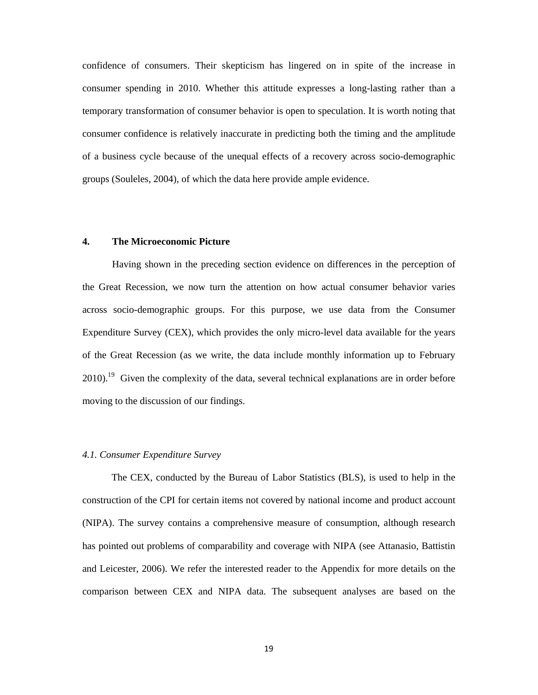confidence of consumers. Their skepticism has lingered on in spite of the increase in consumer spending in 2010. Whether this attitude expresses a long-lasting rather than a temporary transformation of consumer behavior is open to speculation. It is worth noting that consumer confidence is relatively inaccurate in predicting both the timing and the amplitude of a business cycle because of the unequal effects of a recovery across socio-demographic groups (Souleles, 2004), of which the data here provide ample evidence.

### **4. The Microeconomic Picture**

Having shown in the preceding section evidence on differences in the perception of the Great Recession, we now turn the attention on how actual consumer behavior varies across socio-demographic groups. For this purpose, we use data from the Consumer Expenditure Survey (CEX), which provides the only micro-level data available for the years of the Great Recession (as we write, the data include monthly information up to February  $2010$ .<sup>19</sup> Given the complexity of the data, several technical explanations are in order before moving to the discussion of our findings.

## *4.1. Consumer Expenditure Survey*

The CEX, conducted by the Bureau of Labor Statistics (BLS), is used to help in the construction of the CPI for certain items not covered by national income and product account (NIPA). The survey contains a comprehensive measure of consumption, although research has pointed out problems of comparability and coverage with NIPA (see Attanasio, Battistin and Leicester, 2006). We refer the interested reader to the Appendix for more details on the comparison between CEX and NIPA data. The subsequent analyses are based on the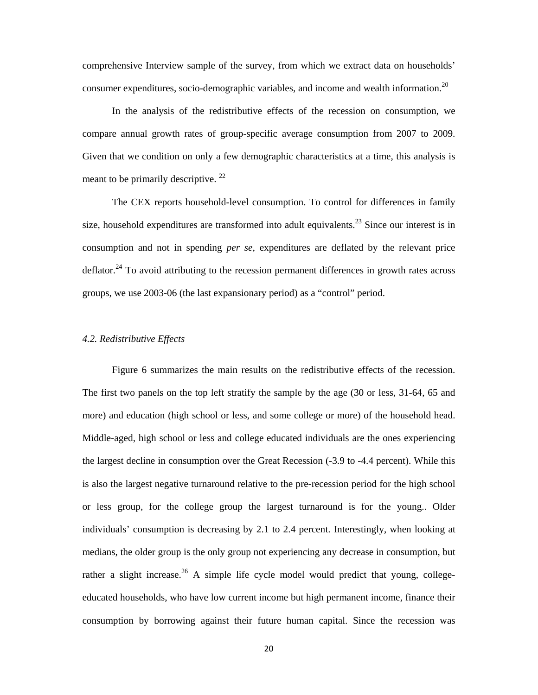comprehensive Interview sample of the survey, from which we extract data on households' consumer expenditures, socio-demographic variables, and income and wealth information.20

In the analysis of the redistributive effects of the recession on consumption, we compare annual growth rates of group-specific average consumption from 2007 to 2009. Given that we condition on only a few demographic characteristics at a time, this analysis is meant to be primarily descriptive.  $^{22}$ 

The CEX reports household-level consumption. To control for differences in family size, household expenditures are transformed into adult equivalents.<sup>23</sup> Since our interest is in consumption and not in spending *per se*, expenditures are deflated by the relevant price deflator.<sup>24</sup> To avoid attributing to the recession permanent differences in growth rates across groups, we use 2003-06 (the last expansionary period) as a "control" period.

#### *4.2. Redistributive Effects*

Figure 6 summarizes the main results on the redistributive effects of the recession. The first two panels on the top left stratify the sample by the age (30 or less, 31-64, 65 and more) and education (high school or less, and some college or more) of the household head. Middle-aged, high school or less and college educated individuals are the ones experiencing the largest decline in consumption over the Great Recession (-3.9 to -4.4 percent). While this is also the largest negative turnaround relative to the pre-recession period for the high school or less group, for the college group the largest turnaround is for the young.. Older individuals' consumption is decreasing by 2.1 to 2.4 percent. Interestingly, when looking at medians, the older group is the only group not experiencing any decrease in consumption, but rather a slight increase.<sup>26</sup> A simple life cycle model would predict that young, collegeeducated households, who have low current income but high permanent income, finance their consumption by borrowing against their future human capital. Since the recession was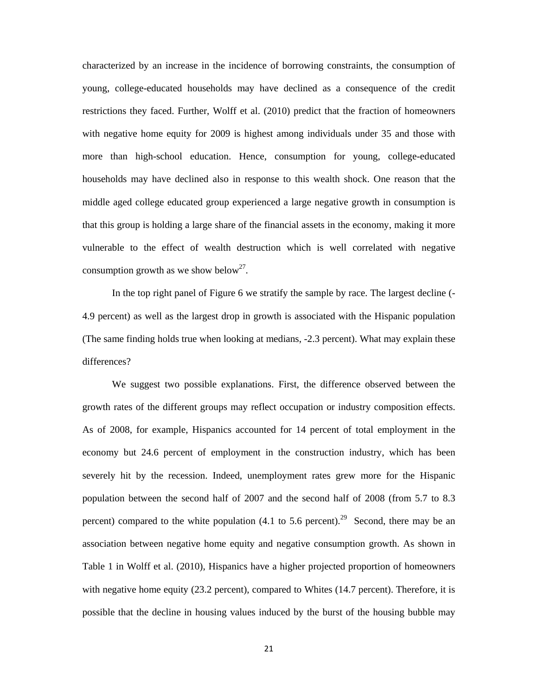characterized by an increase in the incidence of borrowing constraints, the consumption of young, college-educated households may have declined as a consequence of the credit restrictions they faced. Further, Wolff et al. (2010) predict that the fraction of homeowners with negative home equity for 2009 is highest among individuals under 35 and those with more than high-school education. Hence, consumption for young, college-educated households may have declined also in response to this wealth shock. One reason that the middle aged college educated group experienced a large negative growth in consumption is that this group is holding a large share of the financial assets in the economy, making it more vulnerable to the effect of wealth destruction which is well correlated with negative consumption growth as we show below<sup>27</sup>.

In the top right panel of Figure 6 we stratify the sample by race. The largest decline (- 4.9 percent) as well as the largest drop in growth is associated with the Hispanic population (The same finding holds true when looking at medians, -2.3 percent). What may explain these differences?

We suggest two possible explanations. First, the difference observed between the growth rates of the different groups may reflect occupation or industry composition effects. As of 2008, for example, Hispanics accounted for 14 percent of total employment in the economy but 24.6 percent of employment in the construction industry, which has been severely hit by the recession. Indeed, unemployment rates grew more for the Hispanic population between the second half of 2007 and the second half of 2008 (from 5.7 to 8.3 percent) compared to the white population (4.1 to 5.6 percent).<sup>29</sup> Second, there may be an association between negative home equity and negative consumption growth. As shown in Table 1 in Wolff et al. (2010), Hispanics have a higher projected proportion of homeowners with negative home equity (23.2 percent), compared to Whites (14.7 percent). Therefore, it is possible that the decline in housing values induced by the burst of the housing bubble may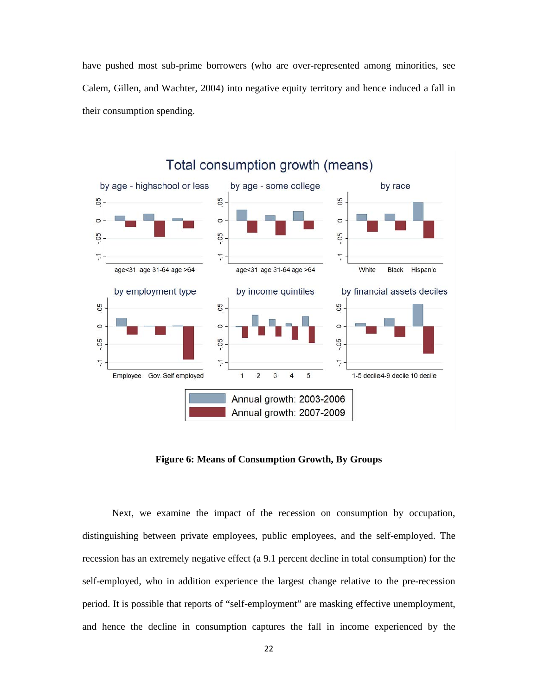have pushed most sub-prime borrowers (who are over-represented among minorities, see Calem, Gillen, and Wachter, 2004) into negative equity territory and hence induced a fall in their consumption spending.



**Figure 6: Means of Consumption Growth, By Groups** 

Next, we examine the impact of the recession on consumption by occupation, distinguishing between private employees, public employees, and the self-employed. The recession has an extremely negative effect (a 9.1 percent decline in total consumption) for the self-employed, who in addition experience the largest change relative to the pre-recession period. It is possible that reports of "self-employment" are masking effective unemployment, and hence the decline in consumption captures the fall in income experienced by the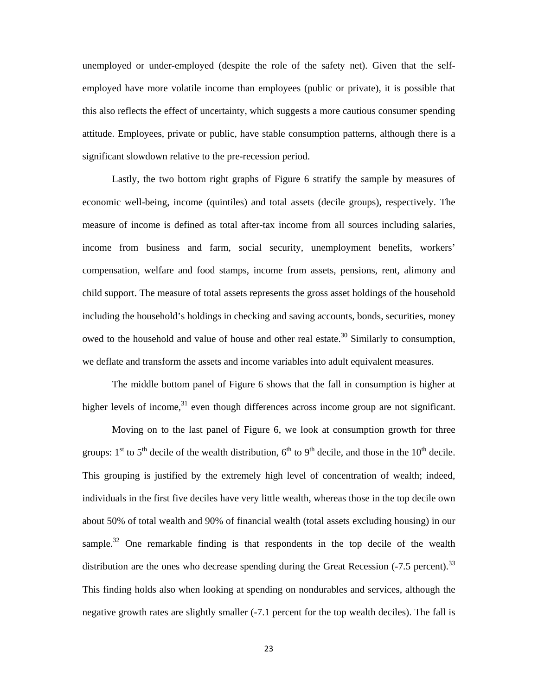unemployed or under-employed (despite the role of the safety net). Given that the selfemployed have more volatile income than employees (public or private), it is possible that this also reflects the effect of uncertainty, which suggests a more cautious consumer spending attitude. Employees, private or public, have stable consumption patterns, although there is a significant slowdown relative to the pre-recession period.

Lastly, the two bottom right graphs of Figure 6 stratify the sample by measures of economic well-being, income (quintiles) and total assets (decile groups), respectively. The measure of income is defined as total after-tax income from all sources including salaries, income from business and farm, social security, unemployment benefits, workers' compensation, welfare and food stamps, income from assets, pensions, rent, alimony and child support. The measure of total assets represents the gross asset holdings of the household including the household's holdings in checking and saving accounts, bonds, securities, money owed to the household and value of house and other real estate.<sup>30</sup> Similarly to consumption, we deflate and transform the assets and income variables into adult equivalent measures.

The middle bottom panel of Figure 6 shows that the fall in consumption is higher at higher levels of income,  $31$  even though differences across income group are not significant.

Moving on to the last panel of Figure 6, we look at consumption growth for three groups:  $1<sup>st</sup>$  to  $5<sup>th</sup>$  decile of the wealth distribution,  $6<sup>th</sup>$  to  $9<sup>th</sup>$  decile, and those in the  $10<sup>th</sup>$  decile. This grouping is justified by the extremely high level of concentration of wealth; indeed, individuals in the first five deciles have very little wealth, whereas those in the top decile own about 50% of total wealth and 90% of financial wealth (total assets excluding housing) in our sample.<sup>32</sup> One remarkable finding is that respondents in the top decile of the wealth distribution are the ones who decrease spending during the Great Recession  $(-7.5 \text{ percent})$ .<sup>33</sup> This finding holds also when looking at spending on nondurables and services, although the negative growth rates are slightly smaller (-7.1 percent for the top wealth deciles). The fall is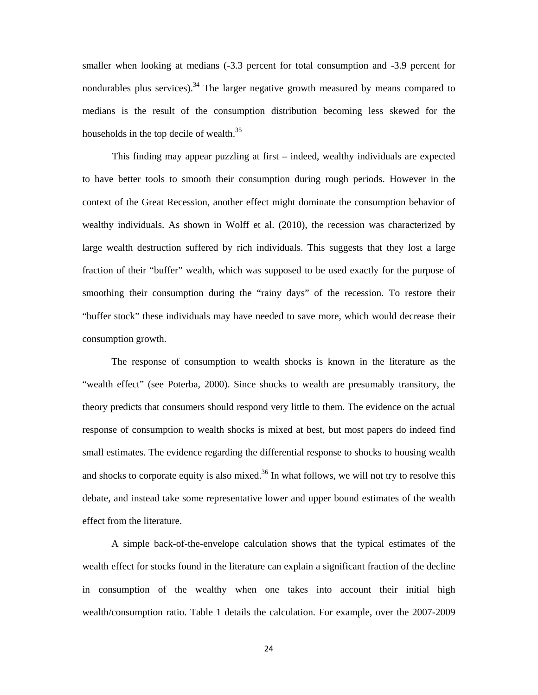smaller when looking at medians  $(-3.3)$  percent for total consumption and  $-3.9$  percent for nondurables plus services).<sup>34</sup> The larger negative growth measured by means compared to medians is the result of the consumption distribution becoming less skewed for the households in the top decile of wealth.<sup>35</sup>

This finding may appear puzzling at first – indeed, wealthy individuals are expected to have better tools to smooth their consumption during rough periods. However in the context of the Great Recession, another effect might dominate the consumption behavior of wealthy individuals. As shown in Wolff et al. (2010), the recession was characterized by large wealth destruction suffered by rich individuals. This suggests that they lost a large fraction of their "buffer" wealth, which was supposed to be used exactly for the purpose of smoothing their consumption during the "rainy days" of the recession. To restore their "buffer stock" these individuals may have needed to save more, which would decrease their consumption growth.

The response of consumption to wealth shocks is known in the literature as the "wealth effect" (see Poterba, 2000). Since shocks to wealth are presumably transitory, the theory predicts that consumers should respond very little to them. The evidence on the actual response of consumption to wealth shocks is mixed at best, but most papers do indeed find small estimates. The evidence regarding the differential response to shocks to housing wealth and shocks to corporate equity is also mixed.<sup>36</sup> In what follows, we will not try to resolve this debate, and instead take some representative lower and upper bound estimates of the wealth effect from the literature.

A simple back-of-the-envelope calculation shows that the typical estimates of the wealth effect for stocks found in the literature can explain a significant fraction of the decline in consumption of the wealthy when one takes into account their initial high wealth/consumption ratio. Table 1 details the calculation. For example, over the 2007-2009

24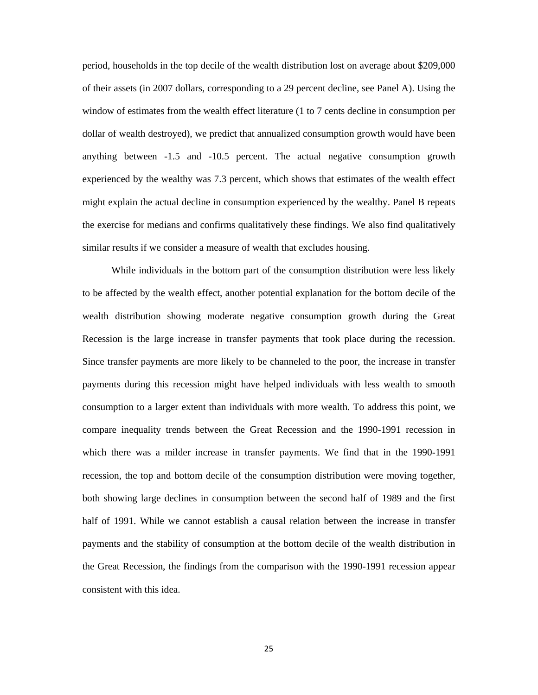period, households in the top decile of the wealth distribution lost on average about \$209,000 of their assets (in 2007 dollars, corresponding to a 29 percent decline, see Panel A). Using the window of estimates from the wealth effect literature (1 to 7 cents decline in consumption per dollar of wealth destroyed), we predict that annualized consumption growth would have been anything between -1.5 and -10.5 percent. The actual negative consumption growth experienced by the wealthy was 7.3 percent, which shows that estimates of the wealth effect might explain the actual decline in consumption experienced by the wealthy. Panel B repeats the exercise for medians and confirms qualitatively these findings. We also find qualitatively similar results if we consider a measure of wealth that excludes housing.

While individuals in the bottom part of the consumption distribution were less likely to be affected by the wealth effect, another potential explanation for the bottom decile of the wealth distribution showing moderate negative consumption growth during the Great Recession is the large increase in transfer payments that took place during the recession. Since transfer payments are more likely to be channeled to the poor, the increase in transfer payments during this recession might have helped individuals with less wealth to smooth consumption to a larger extent than individuals with more wealth. To address this point, we compare inequality trends between the Great Recession and the 1990-1991 recession in which there was a milder increase in transfer payments. We find that in the 1990-1991 recession, the top and bottom decile of the consumption distribution were moving together, both showing large declines in consumption between the second half of 1989 and the first half of 1991. While we cannot establish a causal relation between the increase in transfer payments and the stability of consumption at the bottom decile of the wealth distribution in the Great Recession, the findings from the comparison with the 1990-1991 recession appear consistent with this idea.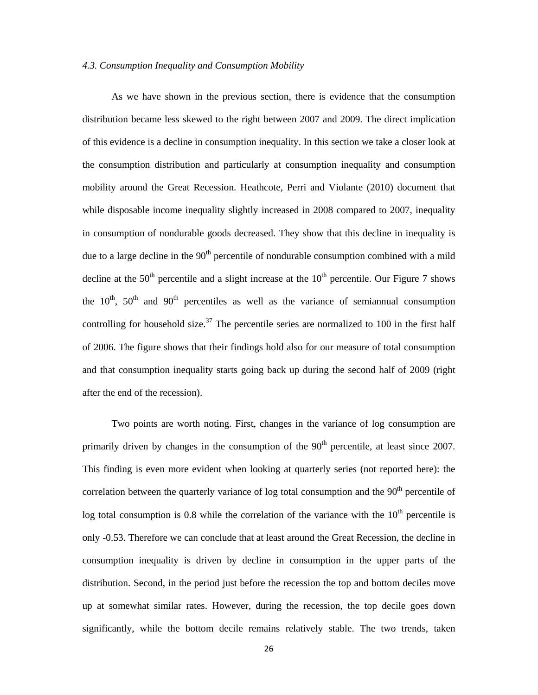#### *4.3. Consumption Inequality and Consumption Mobility*

As we have shown in the previous section, there is evidence that the consumption distribution became less skewed to the right between 2007 and 2009. The direct implication of this evidence is a decline in consumption inequality. In this section we take a closer look at the consumption distribution and particularly at consumption inequality and consumption mobility around the Great Recession. Heathcote, Perri and Violante (2010) document that while disposable income inequality slightly increased in 2008 compared to 2007, inequality in consumption of nondurable goods decreased. They show that this decline in inequality is due to a large decline in the  $90<sup>th</sup>$  percentile of nondurable consumption combined with a mild decline at the  $50<sup>th</sup>$  percentile and a slight increase at the  $10<sup>th</sup>$  percentile. Our Figure 7 shows the  $10^{th}$ ,  $50^{th}$  and  $90^{th}$  percentiles as well as the variance of semiannual consumption controlling for household size.<sup>37</sup> The percentile series are normalized to 100 in the first half of 2006. The figure shows that their findings hold also for our measure of total consumption and that consumption inequality starts going back up during the second half of 2009 (right after the end of the recession).

Two points are worth noting. First, changes in the variance of log consumption are primarily driven by changes in the consumption of the  $90<sup>th</sup>$  percentile, at least since 2007. This finding is even more evident when looking at quarterly series (not reported here): the correlation between the quarterly variance of log total consumption and the  $90<sup>th</sup>$  percentile of log total consumption is 0.8 while the correlation of the variance with the  $10<sup>th</sup>$  percentile is only -0.53. Therefore we can conclude that at least around the Great Recession, the decline in consumption inequality is driven by decline in consumption in the upper parts of the distribution. Second, in the period just before the recession the top and bottom deciles move up at somewhat similar rates. However, during the recession, the top decile goes down significantly, while the bottom decile remains relatively stable. The two trends, taken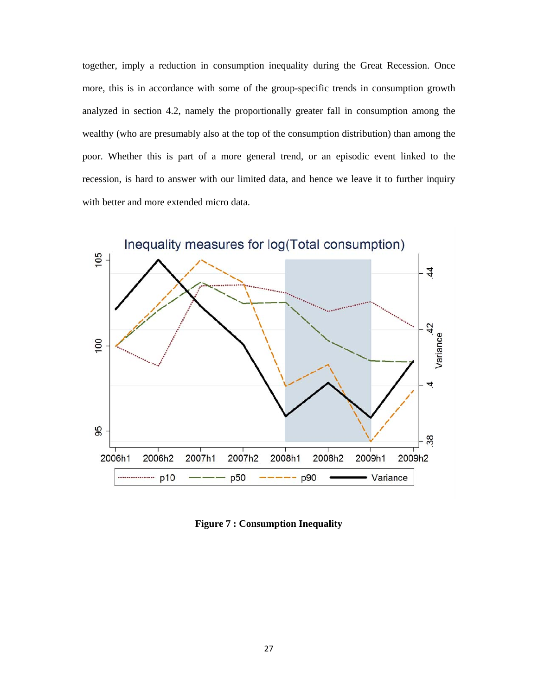together, imply a reduction in consumption inequality during the Great Recession. Once more, this is in accordance with some of the group-specific trends in consumption growth analyzed in section 4.2, namely the proportionally greater fall in consumption among the wealthy (who are presumably also at the top of the consumption distribution) than among the poor. Whether this is part of a more general trend, or an episodic event linked to the recession, is hard to answer with our limited data, and hence we leave it to further inquiry with better and more extended micro data.

![](_page_26_Figure_1.jpeg)

**Figure 7 : Consumption Inequality**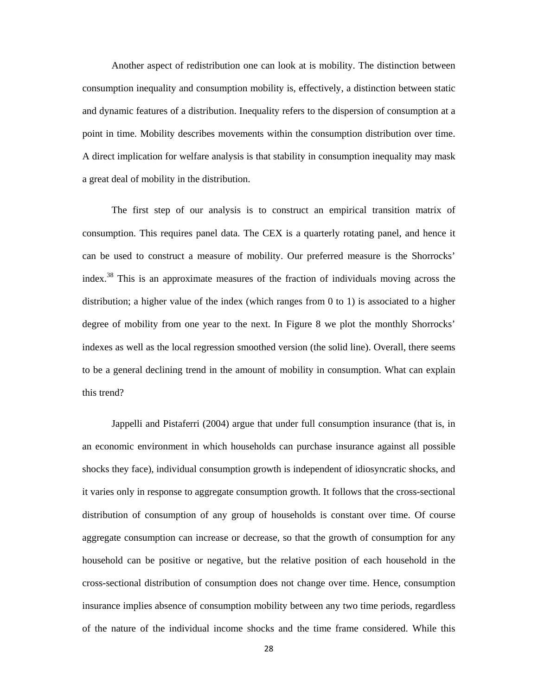Another aspect of redistribution one can look at is mobility. The distinction between consumption inequality and consumption mobility is, effectively, a distinction between static and dynamic features of a distribution. Inequality refers to the dispersion of consumption at a point in time. Mobility describes movements within the consumption distribution over time. A direct implication for welfare analysis is that stability in consumption inequality may mask a great deal of mobility in the distribution.

The first step of our analysis is to construct an empirical transition matrix of consumption. This requires panel data. The CEX is a quarterly rotating panel, and hence it can be used to construct a measure of mobility. Our preferred measure is the Shorrocks' index.38 This is an approximate measures of the fraction of individuals moving across the distribution; a higher value of the index (which ranges from 0 to 1) is associated to a higher degree of mobility from one year to the next. In Figure 8 we plot the monthly Shorrocks' indexes as well as the local regression smoothed version (the solid line). Overall, there seems to be a general declining trend in the amount of mobility in consumption. What can explain this trend?

Jappelli and Pistaferri (2004) argue that under full consumption insurance (that is, in an economic environment in which households can purchase insurance against all possible shocks they face), individual consumption growth is independent of idiosyncratic shocks, and it varies only in response to aggregate consumption growth. It follows that the cross-sectional distribution of consumption of any group of households is constant over time. Of course aggregate consumption can increase or decrease, so that the growth of consumption for any household can be positive or negative, but the relative position of each household in the cross-sectional distribution of consumption does not change over time. Hence, consumption insurance implies absence of consumption mobility between any two time periods, regardless of the nature of the individual income shocks and the time frame considered. While this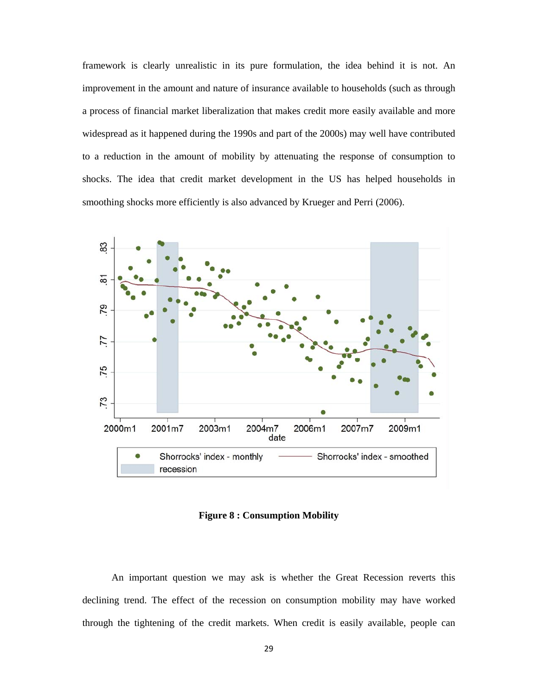framework is clearly unrealistic in its pure formulation, the idea behind it is not. An improvement in the amount and nature of insurance available to households (such as through a process of financial market liberalization that makes credit more easily available and more widespread as it happened during the 1990s and part of the 2000s) may well have contributed to a reduction in the amount of mobility by attenuating the response of consumption to shocks. The idea that credit market development in the US has helped households in smoothing shocks more efficiently is also advanced by Krueger and Perri (2006).

![](_page_28_Figure_1.jpeg)

**Figure 8 : Consumption Mobility** 

An important question we may ask is whether the Great Recession reverts this declining trend. The effect of the recession on consumption mobility may have worked through the tightening of the credit markets. When credit is easily available, people can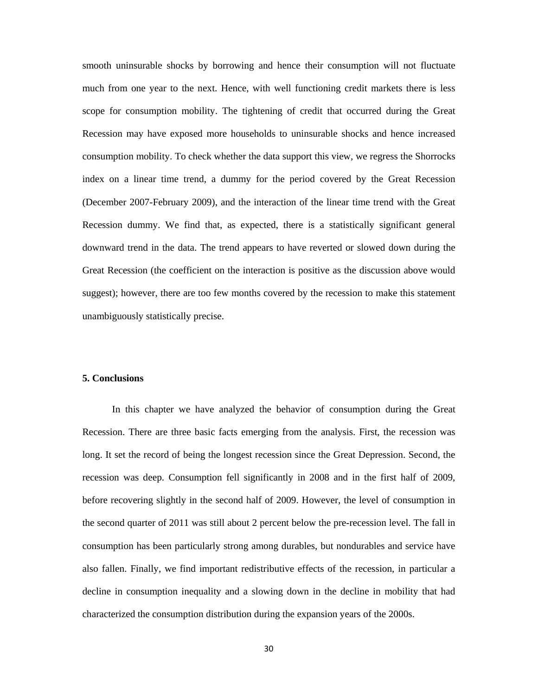smooth uninsurable shocks by borrowing and hence their consumption will not fluctuate much from one year to the next. Hence, with well functioning credit markets there is less scope for consumption mobility. The tightening of credit that occurred during the Great Recession may have exposed more households to uninsurable shocks and hence increased consumption mobility. To check whether the data support this view, we regress the Shorrocks index on a linear time trend, a dummy for the period covered by the Great Recession (December 2007-February 2009), and the interaction of the linear time trend with the Great Recession dummy. We find that, as expected, there is a statistically significant general downward trend in the data. The trend appears to have reverted or slowed down during the Great Recession (the coefficient on the interaction is positive as the discussion above would suggest); however, there are too few months covered by the recession to make this statement unambiguously statistically precise.

## **5. Conclusions**

In this chapter we have analyzed the behavior of consumption during the Great Recession. There are three basic facts emerging from the analysis. First, the recession was long. It set the record of being the longest recession since the Great Depression. Second, the recession was deep. Consumption fell significantly in 2008 and in the first half of 2009, before recovering slightly in the second half of 2009. However, the level of consumption in the second quarter of 2011 was still about 2 percent below the pre-recession level. The fall in consumption has been particularly strong among durables, but nondurables and service have also fallen. Finally, we find important redistributive effects of the recession, in particular a decline in consumption inequality and a slowing down in the decline in mobility that had characterized the consumption distribution during the expansion years of the 2000s.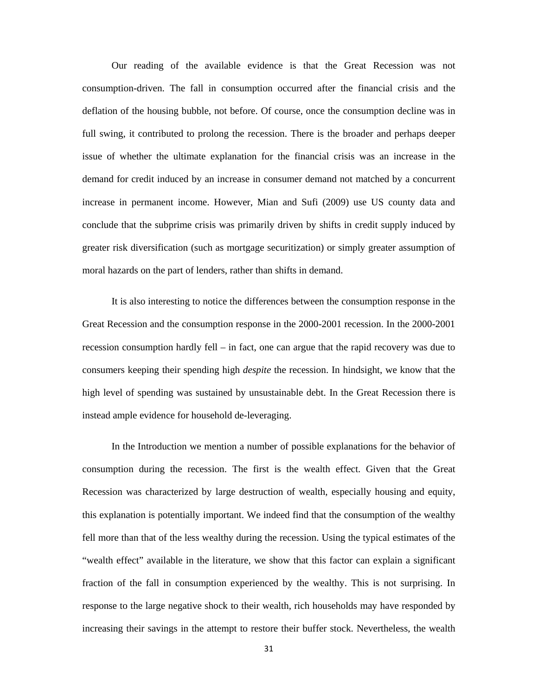Our reading of the available evidence is that the Great Recession was not consumption-driven. The fall in consumption occurred after the financial crisis and the deflation of the housing bubble, not before. Of course, once the consumption decline was in full swing, it contributed to prolong the recession. There is the broader and perhaps deeper issue of whether the ultimate explanation for the financial crisis was an increase in the demand for credit induced by an increase in consumer demand not matched by a concurrent increase in permanent income. However, Mian and Sufi (2009) use US county data and conclude that the subprime crisis was primarily driven by shifts in credit supply induced by greater risk diversification (such as mortgage securitization) or simply greater assumption of moral hazards on the part of lenders, rather than shifts in demand.

It is also interesting to notice the differences between the consumption response in the Great Recession and the consumption response in the 2000-2001 recession. In the 2000-2001 recession consumption hardly fell – in fact, one can argue that the rapid recovery was due to consumers keeping their spending high *despite* the recession. In hindsight, we know that the high level of spending was sustained by unsustainable debt. In the Great Recession there is instead ample evidence for household de-leveraging.

In the Introduction we mention a number of possible explanations for the behavior of consumption during the recession. The first is the wealth effect. Given that the Great Recession was characterized by large destruction of wealth, especially housing and equity, this explanation is potentially important. We indeed find that the consumption of the wealthy fell more than that of the less wealthy during the recession. Using the typical estimates of the "wealth effect" available in the literature, we show that this factor can explain a significant fraction of the fall in consumption experienced by the wealthy. This is not surprising. In response to the large negative shock to their wealth, rich households may have responded by increasing their savings in the attempt to restore their buffer stock. Nevertheless, the wealth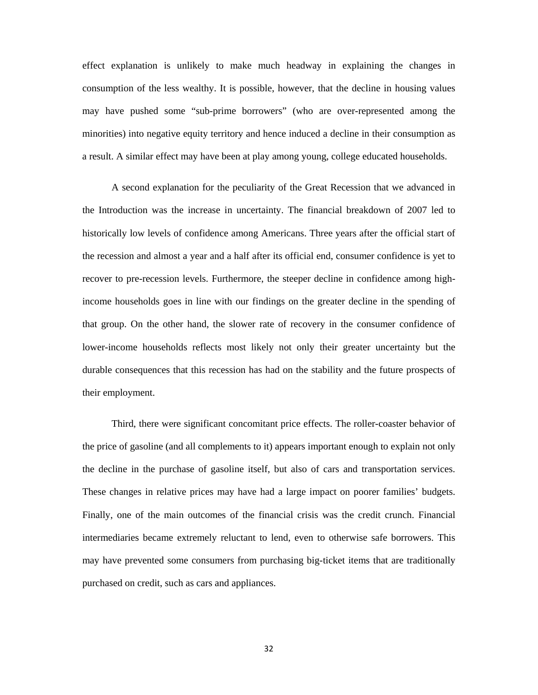effect explanation is unlikely to make much headway in explaining the changes in consumption of the less wealthy. It is possible, however, that the decline in housing values may have pushed some "sub-prime borrowers" (who are over-represented among the minorities) into negative equity territory and hence induced a decline in their consumption as a result. A similar effect may have been at play among young, college educated households.

A second explanation for the peculiarity of the Great Recession that we advanced in the Introduction was the increase in uncertainty. The financial breakdown of 2007 led to historically low levels of confidence among Americans. Three years after the official start of the recession and almost a year and a half after its official end, consumer confidence is yet to recover to pre-recession levels. Furthermore, the steeper decline in confidence among highincome households goes in line with our findings on the greater decline in the spending of that group. On the other hand, the slower rate of recovery in the consumer confidence of lower-income households reflects most likely not only their greater uncertainty but the durable consequences that this recession has had on the stability and the future prospects of their employment.

Third, there were significant concomitant price effects. The roller-coaster behavior of the price of gasoline (and all complements to it) appears important enough to explain not only the decline in the purchase of gasoline itself, but also of cars and transportation services. These changes in relative prices may have had a large impact on poorer families' budgets. Finally, one of the main outcomes of the financial crisis was the credit crunch. Financial intermediaries became extremely reluctant to lend, even to otherwise safe borrowers. This may have prevented some consumers from purchasing big-ticket items that are traditionally purchased on credit, such as cars and appliances.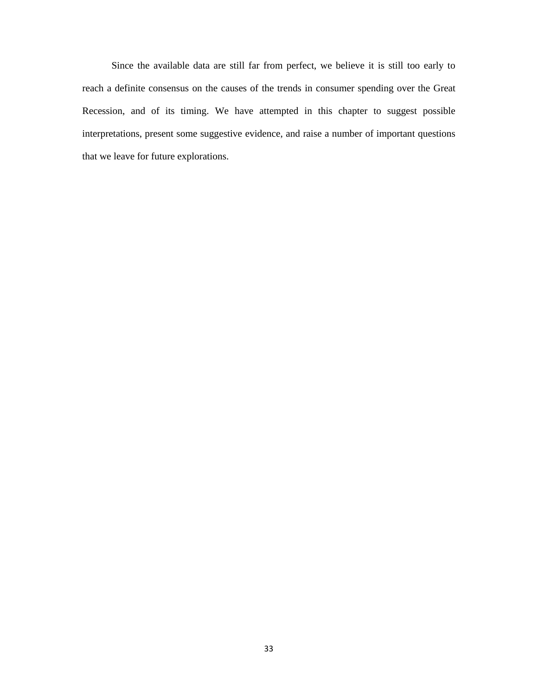Since the available data are still far from perfect, we believe it is still too early to reach a definite consensus on the causes of the trends in consumer spending over the Great Recession, and of its timing. We have attempted in this chapter to suggest possible interpretations, present some suggestive evidence, and raise a number of important questions that we leave for future explorations.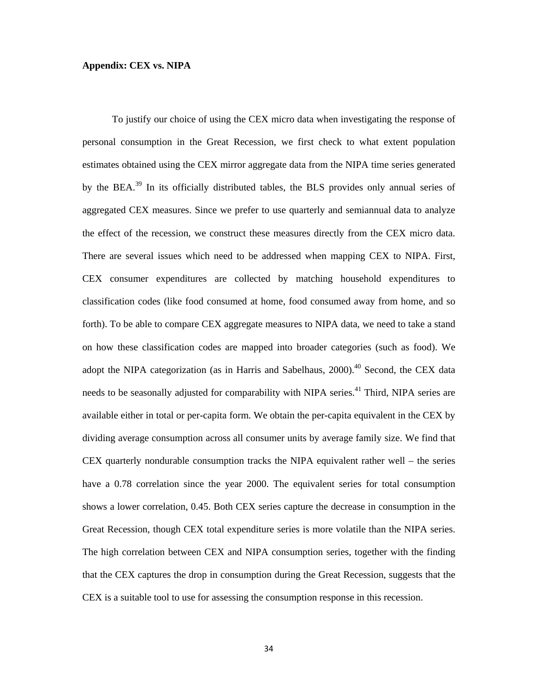#### **Appendix: CEX vs. NIPA**

To justify our choice of using the CEX micro data when investigating the response of personal consumption in the Great Recession, we first check to what extent population estimates obtained using the CEX mirror aggregate data from the NIPA time series generated by the BEA.<sup>39</sup> In its officially distributed tables, the BLS provides only annual series of aggregated CEX measures. Since we prefer to use quarterly and semiannual data to analyze the effect of the recession, we construct these measures directly from the CEX micro data. There are several issues which need to be addressed when mapping CEX to NIPA. First, CEX consumer expenditures are collected by matching household expenditures to classification codes (like food consumed at home, food consumed away from home, and so forth). To be able to compare CEX aggregate measures to NIPA data, we need to take a stand on how these classification codes are mapped into broader categories (such as food). We adopt the NIPA categorization (as in Harris and Sabelhaus,  $2000$ ).<sup>40</sup> Second, the CEX data needs to be seasonally adjusted for comparability with NIPA series.<sup>41</sup> Third, NIPA series are available either in total or per-capita form. We obtain the per-capita equivalent in the CEX by dividing average consumption across all consumer units by average family size. We find that CEX quarterly nondurable consumption tracks the NIPA equivalent rather well – the series have a 0.78 correlation since the year 2000. The equivalent series for total consumption shows a lower correlation, 0.45. Both CEX series capture the decrease in consumption in the Great Recession, though CEX total expenditure series is more volatile than the NIPA series. The high correlation between CEX and NIPA consumption series, together with the finding that the CEX captures the drop in consumption during the Great Recession, suggests that the CEX is a suitable tool to use for assessing the consumption response in this recession.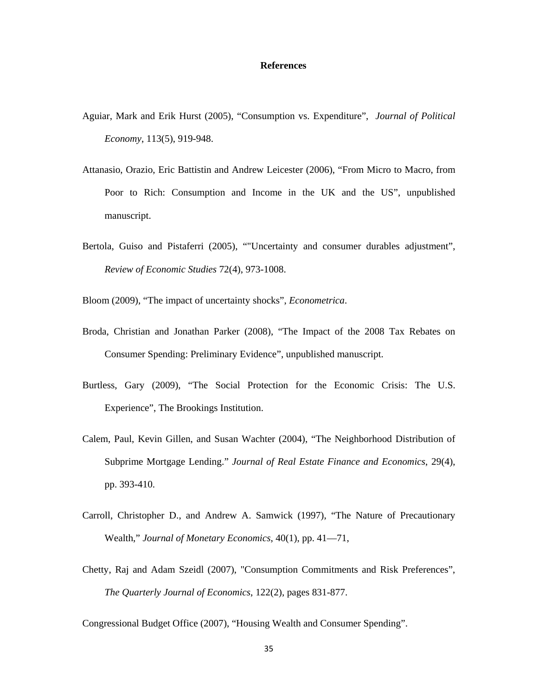#### **References**

- Aguiar, Mark and Erik Hurst (2005), "Consumption vs. Expenditure", *Journal of Political Economy*, 113(5), 919-948.
- Attanasio, Orazio, Eric Battistin and Andrew Leicester (2006), "From Micro to Macro, from Poor to Rich: Consumption and Income in the UK and the US", unpublished manuscript.
- Bertola, Guiso and Pistaferri (2005), ""Uncertainty and consumer durables adjustment", *Review of Economic Studies* 72(4), 973-1008.
- Bloom (2009), "The impact of uncertainty shocks", *Econometrica*.
- Broda, Christian and Jonathan Parker (2008), "The Impact of the 2008 Tax Rebates on Consumer Spending: Preliminary Evidence", unpublished manuscript.
- Burtless, Gary (2009), "The Social Protection for the Economic Crisis: The U.S. Experience", The Brookings Institution.
- Calem, Paul, Kevin Gillen, and Susan Wachter (2004), "The Neighborhood Distribution of Subprime Mortgage Lending." *Journal of Real Estate Finance and Economics*, 29(4), pp. 393-410.
- Carroll, Christopher D., and Andrew A. Samwick (1997), "The Nature of Precautionary Wealth," *Journal of Monetary Economics*, 40(1), pp. 41—71,
- Chetty, Raj and Adam Szeidl (2007), "Consumption Commitments and Risk Preferences", *The Quarterly Journal of Economics*, 122(2), pages 831-877.

Congressional Budget Office (2007), "Housing Wealth and Consumer Spending".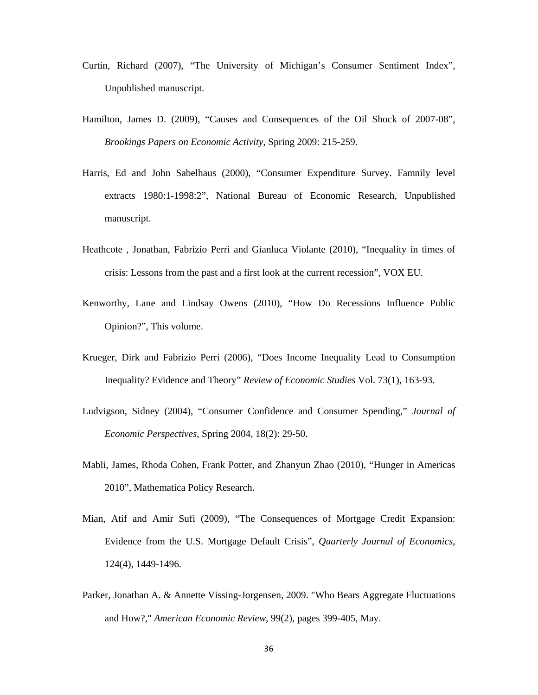- Curtin, Richard (2007), "The University of Michigan's Consumer Sentiment Index", Unpublished manuscript.
- Hamilton, James D. (2009), "Causes and Consequences of the Oil Shock of 2007-08", *Brookings Papers on Economic Activity*, Spring 2009: 215-259.
- Harris, Ed and John Sabelhaus (2000), "Consumer Expenditure Survey. Famnily level extracts 1980:1-1998:2", National Bureau of Economic Research, Unpublished manuscript.
- Heathcote , Jonathan, Fabrizio Perri and Gianluca Violante (2010), "Inequality in times of crisis: Lessons from the past and a first look at the current recession", VOX EU.
- Kenworthy, Lane and Lindsay Owens (2010), "How Do Recessions Influence Public Opinion?", This volume.
- Krueger, Dirk and Fabrizio Perri (2006), "Does Income Inequality Lead to Consumption Inequality? Evidence and Theory" *Review of Economic Studies* Vol. 73(1), 163-93.
- Ludvigson, Sidney (2004), "Consumer Confidence and Consumer Spending," *Journal of Economic Perspectives*, Spring 2004, 18(2): 29-50.
- Mabli, James, Rhoda Cohen, Frank Potter, and Zhanyun Zhao (2010), "Hunger in Americas 2010", Mathematica Policy Research.
- Mian, Atif and Amir Sufi (2009), "The Consequences of Mortgage Credit Expansion: Evidence from the U.S. Mortgage Default Crisis", *Quarterly Journal of Economics*, 124(4), 1449-1496.
- Parker, Jonathan A. & Annette Vissing-Jorgensen, 2009. "Who Bears Aggregate Fluctuations and How?," *American Economic Review*, 99(2), pages 399-405, May.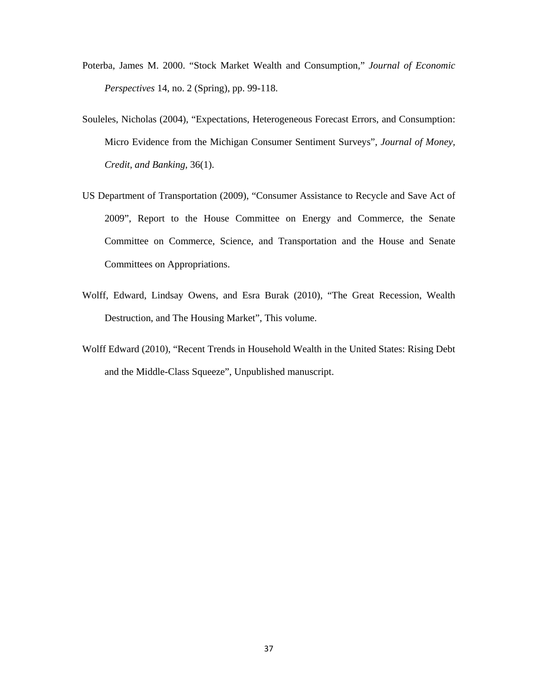- Poterba, James M. 2000. "Stock Market Wealth and Consumption," *Journal of Economic Perspectives* 14, no. 2 (Spring), pp. 99-118.
- Souleles, Nicholas (2004), "Expectations, Heterogeneous Forecast Errors, and Consumption: Micro Evidence from the Michigan Consumer Sentiment Surveys", *Journal of Money, Credit, and Banking*, 36(1).
- US Department of Transportation (2009), "Consumer Assistance to Recycle and Save Act of 2009", Report to the House Committee on Energy and Commerce, the Senate Committee on Commerce, Science, and Transportation and the House and Senate Committees on Appropriations.
- Wolff, Edward, Lindsay Owens, and Esra Burak (2010), "The Great Recession, Wealth Destruction, and The Housing Market", This volume.
- Wolff Edward (2010), "Recent Trends in Household Wealth in the United States: Rising Debt and the Middle-Class Squeeze", Unpublished manuscript.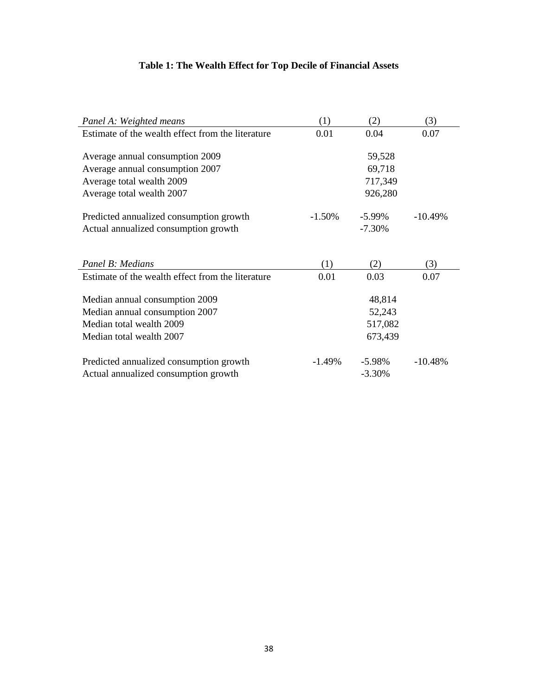# **Table 1: The Wealth Effect for Top Decile of Financial Assets**

| Panel A: Weighted means                           | (1)       | (2)       | (3)       |
|---------------------------------------------------|-----------|-----------|-----------|
| Estimate of the wealth effect from the literature | 0.01      | 0.04      | 0.07      |
|                                                   |           |           |           |
| Average annual consumption 2009                   |           | 59,528    |           |
| Average annual consumption 2007                   |           | 69,718    |           |
| Average total wealth 2009                         |           | 717,349   |           |
| Average total wealth 2007                         |           | 926,280   |           |
| Predicted annualized consumption growth           | $-1.50\%$ | $-5.99\%$ | $-10.49%$ |
| Actual annualized consumption growth              |           | $-7.30%$  |           |
|                                                   |           |           |           |
| Panel B: Medians                                  | (1)       | (2)       | (3)       |
| Estimate of the wealth effect from the literature | 0.01      | 0.03      | 0.07      |
| Median annual consumption 2009                    |           | 48,814    |           |
| Median annual consumption 2007                    |           | 52,243    |           |
| Median total wealth 2009                          |           | 517,082   |           |
| Median total wealth 2007                          |           | 673,439   |           |
| Predicted annualized consumption growth           | $-1.49%$  | $-5.98%$  | $-10.48%$ |
| Actual annualized consumption growth              |           | $-3.30%$  |           |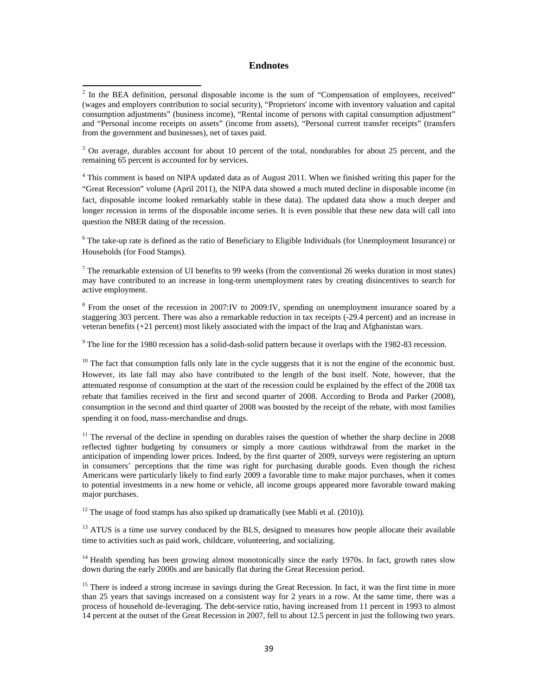#### **Endnotes**

<sup>3</sup> On average, durables account for about 10 percent of the total, nondurables for about 25 percent, and the remaining 65 percent is accounted for by services.

<sup>4</sup> This comment is based on NIPA updated data as of August 2011. When we finished writing this paper for the "Great Recession" volume (April 2011), the NIPA data showed a much muted decline in disposable income (in fact, disposable income looked remarkably stable in these data). The updated data show a much deeper and longer recession in terms of the disposable income series. It is even possible that these new data will call into question the NBER dating of the recession.

<sup>6</sup> The take-up rate is defined as the ratio of Beneficiary to Eligible Individuals (for Unemployment Insurance) or Households (for Food Stamps).

<sup>7</sup> The remarkable extension of UI benefits to 99 weeks (from the conventional 26 weeks duration in most states) may have contributed to an increase in long-term unemployment rates by creating disincentives to search for active employment.

<sup>8</sup> From the onset of the recession in 2007:IV to 2009:IV, spending on unemployment insurance soared by a staggering 303 percent. There was also a remarkable reduction in tax receipts (-29.4 percent) and an increase in veteran benefits (+21 percent) most likely associated with the impact of the Iraq and Afghanistan wars.

<sup>9</sup> The line for the 1980 recession has a solid-dash-solid pattern because it overlaps with the 1982-83 recession.

<sup>10</sup> The fact that consumption falls only late in the cycle suggests that it is not the engine of the economic bust. However, its late fall may also have contributed to the length of the bust itself. Note, however, that the attenuated response of consumption at the start of the recession could be explained by the effect of the 2008 tax rebate that families received in the first and second quarter of 2008. According to Broda and Parker (2008), consumption in the second and third quarter of 2008 was boosted by the receipt of the rebate, with most families spending it on food, mass-merchandise and drugs.

<sup>11</sup> The reversal of the decline in spending on durables raises the question of whether the sharp decline in 2008 reflected tighter budgeting by consumers or simply a more cautious withdrawal from the market in the anticipation of impending lower prices. Indeed, by the first quarter of 2009, surveys were registering an upturn in consumers' perceptions that the time was right for purchasing durable goods. Even though the richest Americans were particularly likely to find early 2009 a favorable time to make major purchases, when it comes to potential investments in a new home or vehicle, all income groups appeared more favorable toward making major purchases.

 $12$  The usage of food stamps has also spiked up dramatically (see Mabli et al. (2010)).

<sup>13</sup> ATUS is a time use survey conduced by the BLS, designed to measures how people allocate their available time to activities such as paid work, childcare, volunteering, and socializing.

 $14$  Health spending has been growing almost monotonically since the early 1970s. In fact, growth rates slow down during the early 2000s and are basically flat during the Great Recession period.

 $15$  There is indeed a strong increase in savings during the Great Recession. In fact, it was the first time in more than 25 years that savings increased on a consistent way for 2 years in a row. At the same time, there was a process of household de-leveraging. The debt-service ratio, having increased from 11 percent in 1993 to almost 14 percent at the outset of the Great Recession in 2007, fell to about 12.5 percent in just the following two years.

 $2$  In the BEA definition, personal disposable income is the sum of "Compensation of employees, received" (wages and employers contribution to social security), "Proprietors' income with inventory valuation and capital consumption adjustments" (business income), "Rental income of persons with capital consumption adjustment" and "Personal income receipts on assets" (income from assets), "Personal current transfer receipts" (transfers from the government and businesses), net of taxes paid.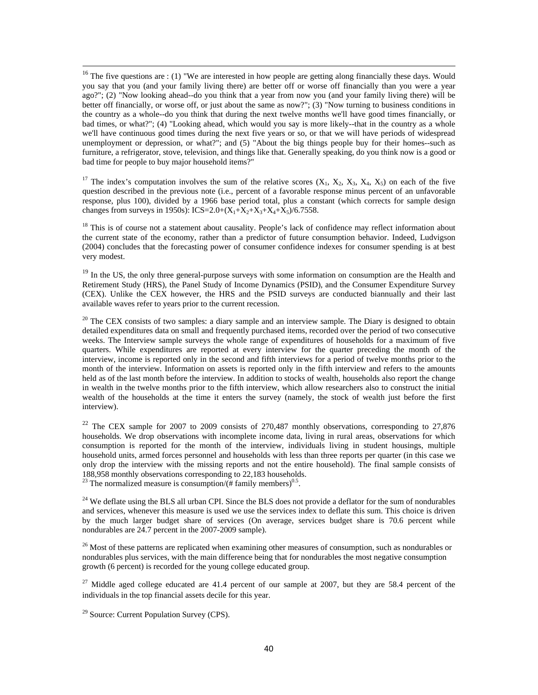$16$  The five questions are : (1) "We are interested in how people are getting along financially these days. Would you say that you (and your family living there) are better off or worse off financially than you were a year ago?"; (2) "Now looking ahead--do you think that a year from now you (and your family living there) will be better off financially, or worse off, or just about the same as now?"; (3) "Now turning to business conditions in the country as a whole--do you think that during the next twelve months we'll have good times financially, or bad times, or what?"; (4) "Looking ahead, which would you say is more likely--that in the country as a whole we'll have continuous good times during the next five years or so, or that we will have periods of widespread unemployment or depression, or what?"; and (5) "About the big things people buy for their homes--such as furniture, a refrigerator, stove, television, and things like that. Generally speaking, do you think now is a good or bad time for people to buy major household items?"

<sup>17</sup> The index's computation involves the sum of the relative scores  $(X_1, X_2, X_3, X_4, X_5)$  on each of the five question described in the previous note (i.e., percent of a favorable response minus percent of an unfavorable response, plus 100), divided by a 1966 base period total, plus a constant (which corrects for sample design changes from surveys in 1950s): ICS=2.0+( $X_1+X_2+X_3+X_4+X_5$ )/6.7558.

<sup>18</sup> This is of course not a statement about causality. People's lack of confidence may reflect information about the current state of the economy, rather than a predictor of future consumption behavior. Indeed, Ludvigson (2004) concludes that the forecasting power of consumer confidence indexes for consumer spending is at best very modest.

 $19$  In the US, the only three general-purpose surveys with some information on consumption are the Health and Retirement Study (HRS), the Panel Study of Income Dynamics (PSID), and the Consumer Expenditure Survey (CEX). Unlike the CEX however, the HRS and the PSID surveys are conducted biannually and their last available waves refer to years prior to the current recession.

 $20$  The CEX consists of two samples: a diary sample and an interview sample. The Diary is designed to obtain detailed expenditures data on small and frequently purchased items, recorded over the period of two consecutive weeks. The Interview sample surveys the whole range of expenditures of households for a maximum of five quarters. While expenditures are reported at every interview for the quarter preceding the month of the interview, income is reported only in the second and fifth interviews for a period of twelve months prior to the month of the interview. Information on assets is reported only in the fifth interview and refers to the amounts held as of the last month before the interview. In addition to stocks of wealth, households also report the change in wealth in the twelve months prior to the fifth interview, which allow researchers also to construct the initial wealth of the households at the time it enters the survey (namely, the stock of wealth just before the first interview).

<sup>22</sup> The CEX sample for 2007 to 2009 consists of 270,487 monthly observations, corresponding to 27,876 households. We drop observations with incomplete income data, living in rural areas, observations for which consumption is reported for the month of the interview, individuals living in student housings, multiple household units, armed forces personnel and households with less than three reports per quarter (in this case we only drop the interview with the missing reports and not the entire household). The final sample consists of 188,958 monthly observations corresponding to 22,183 households.

<sup>23</sup> The normalized measure is consumption/ $(H$  family members)<sup>0.5</sup>.

<sup>24</sup> We deflate using the BLS all urban CPI. Since the BLS does not provide a deflator for the sum of nondurables and services, whenever this measure is used we use the services index to deflate this sum. This choice is driven by the much larger budget share of services (On average, services budget share is 70.6 percent while nondurables are 24.7 percent in the 2007-2009 sample).

<sup>26</sup> Most of these patterns are replicated when examining other measures of consumption, such as nondurables or nondurables plus services, with the main difference being that for nondurables the most negative consumption growth (6 percent) is recorded for the young college educated group.

 $27$  Middle aged college educated are 41.4 percent of our sample at 2007, but they are 58.4 percent of the individuals in the top financial assets decile for this year.

 $29$  Source: Current Population Survey (CPS).